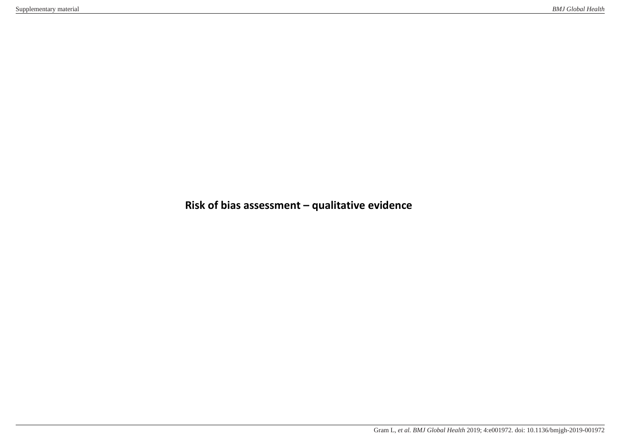## **Risk of bias assessment – qualitative evidence**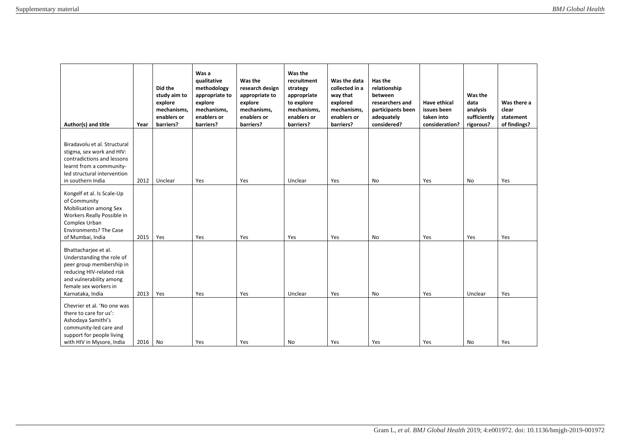| Author(s) and title                                                                                                                                                                | Year | Did the<br>study aim to<br>explore<br>mechanisms.<br>enablers or<br>barriers? | Was a<br>qualitative<br>methodology<br>appropriate to<br>explore<br>mechanisms,<br>enablers or<br>barriers? | Was the<br>research design<br>appropriate to<br>explore<br>mechanisms,<br>enablers or<br>barriers? | Was the<br>recruitment<br>strategy<br>appropriate<br>to explore<br>mechanisms,<br>enablers or<br>barriers? | Was the data<br>collected in a<br>way that<br>explored<br>mechanisms.<br>enablers or<br>barriers? | Has the<br>relationship<br>between<br>researchers and<br>participants been<br>adequately<br>considered? | Have ethical<br>issues been<br>taken into<br>consideration? | Was the<br>data<br>analysis<br>sufficiently<br>rigorous? | Was there a<br>clear<br>statement<br>of findings? |
|------------------------------------------------------------------------------------------------------------------------------------------------------------------------------------|------|-------------------------------------------------------------------------------|-------------------------------------------------------------------------------------------------------------|----------------------------------------------------------------------------------------------------|------------------------------------------------------------------------------------------------------------|---------------------------------------------------------------------------------------------------|---------------------------------------------------------------------------------------------------------|-------------------------------------------------------------|----------------------------------------------------------|---------------------------------------------------|
| Biradavolu et al. Structural<br>stigma, sex work and HIV:<br>contradictions and lessons<br>learnt from a community-<br>led structural intervention<br>in southern India            | 2012 | Unclear                                                                       | Yes                                                                                                         | Yes                                                                                                | Unclear                                                                                                    | Yes                                                                                               | No                                                                                                      | Yes                                                         | No                                                       | Yes                                               |
| Kongelf et al. Is Scale-Up<br>of Community<br>Mobilisation among Sex<br>Workers Really Possible in<br>Complex Urban<br><b>Environments? The Case</b><br>of Mumbai, India           | 2015 | Yes                                                                           | Yes                                                                                                         | Yes                                                                                                | Yes                                                                                                        | Yes                                                                                               | No                                                                                                      | Yes                                                         | Yes                                                      | Yes                                               |
| Bhattacharjee et al.<br>Understanding the role of<br>peer group membership in<br>reducing HIV-related risk<br>and vulnerability among<br>female sex workers in<br>Karnataka, India | 2013 | Yes                                                                           | Yes                                                                                                         | Yes                                                                                                | Unclear                                                                                                    | Yes                                                                                               | No                                                                                                      | Yes                                                         | Unclear                                                  | Yes                                               |
| Chevrier et al. 'No one was<br>there to care for us':<br>Ashodaya Samithi's<br>community-led care and<br>support for people living<br>with HIV in Mysore, India                    | 2016 | No                                                                            | Yes                                                                                                         | Yes                                                                                                | No                                                                                                         | Yes                                                                                               | Yes                                                                                                     | Yes                                                         | No.                                                      | Yes                                               |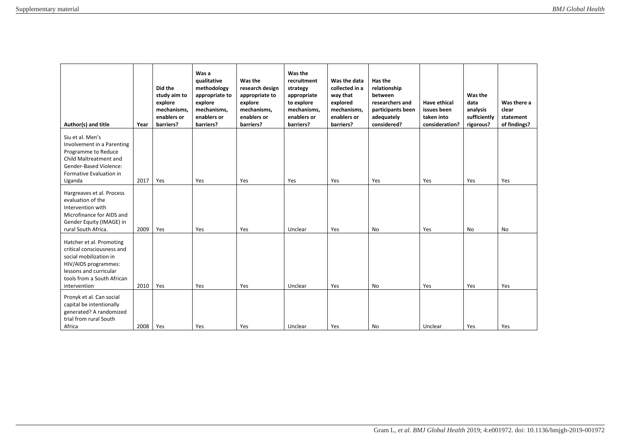| Author(s) and title                                                                                                                                                              | Year | Did the<br>study aim to<br>explore<br>mechanisms.<br>enablers or<br>barriers? | Was a<br>qualitative<br>methodology<br>appropriate to<br>explore<br>mechanisms,<br>enablers or<br>barriers? | Was the<br>research design<br>appropriate to<br>explore<br>mechanisms,<br>enablers or<br>barriers? | Was the<br>recruitment<br>strategy<br>appropriate<br>to explore<br>mechanisms,<br>enablers or<br>barriers? | Was the data<br>collected in a<br>way that<br>explored<br>mechanisms,<br>enablers or<br>barriers? | Has the<br>relationship<br>between<br>researchers and<br>participants been<br>adequately<br>considered? | Have ethical<br>issues been<br>taken into<br>consideration? | Was the<br>data<br>analysis<br>sufficiently<br>rigorous? | Was there a<br>clear<br>statement<br>of findings? |
|----------------------------------------------------------------------------------------------------------------------------------------------------------------------------------|------|-------------------------------------------------------------------------------|-------------------------------------------------------------------------------------------------------------|----------------------------------------------------------------------------------------------------|------------------------------------------------------------------------------------------------------------|---------------------------------------------------------------------------------------------------|---------------------------------------------------------------------------------------------------------|-------------------------------------------------------------|----------------------------------------------------------|---------------------------------------------------|
| Siu et al. Men's<br>Involvement in a Parenting<br>Programme to Reduce<br>Child Maltreatment and<br><b>Gender-Based Violence:</b><br>Formative Evaluation in<br>Uganda            | 2017 | Yes                                                                           | Yes                                                                                                         | Yes                                                                                                | Yes                                                                                                        | Yes                                                                                               | Yes                                                                                                     | Yes                                                         | Yes                                                      | Yes                                               |
| Hargreaves et al. Process<br>evaluation of the<br>Intervention with<br>Microfinance for AIDS and<br>Gender Equity (IMAGE) in<br>rural South Africa.                              | 2009 | Yes                                                                           | Yes                                                                                                         | Yes                                                                                                | Unclear                                                                                                    | Yes                                                                                               | <b>No</b>                                                                                               | Yes                                                         | <b>No</b>                                                | <b>No</b>                                         |
| Hatcher et al. Promoting<br>critical consciousness and<br>social mobilization in<br>HIV/AIDS programmes:<br>lessons and curricular<br>tools from a South African<br>intervention | 2010 | Yes                                                                           | Yes                                                                                                         | Yes                                                                                                | Unclear                                                                                                    | Yes                                                                                               | No                                                                                                      | Yes                                                         | Yes                                                      | Yes                                               |
| Pronyk et al. Can social<br>capital be intentionally<br>generated? A randomized<br>trial from rural South<br>Africa                                                              | 2008 | Yes                                                                           | Yes                                                                                                         | Yes                                                                                                | Unclear                                                                                                    | Yes                                                                                               | No                                                                                                      | Unclear                                                     | Yes                                                      | Yes                                               |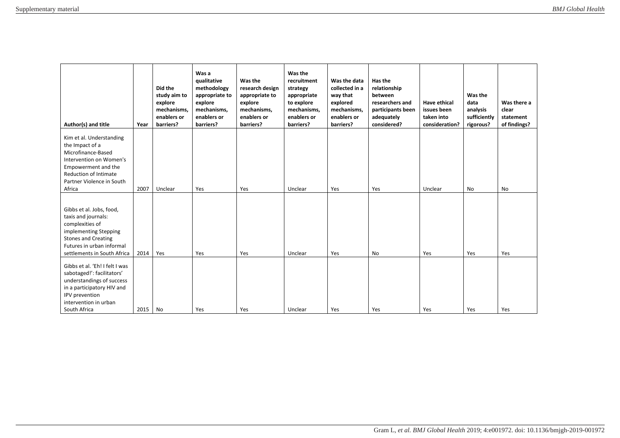| Author(s) and title                                                                                                                                                                        | Year | Did the<br>study aim to<br>explore<br>mechanisms,<br>enablers or<br>barriers? | Was a<br>qualitative<br>methodology<br>appropriate to<br>explore<br>mechanisms,<br>enablers or<br>barriers? | Was the<br>research design<br>appropriate to<br>explore<br>mechanisms,<br>enablers or<br>barriers? | Was the<br>recruitment<br>strategy<br>appropriate<br>to explore<br>mechanisms,<br>enablers or<br>barriers? | Was the data<br>collected in a<br>way that<br>explored<br>mechanisms,<br>enablers or<br>barriers? | Has the<br>relationship<br>between<br>researchers and<br>participants been<br>adequately<br>considered? | <b>Have ethical</b><br>issues been<br>taken into<br>consideration? | Was the<br>data<br>analysis<br>sufficiently<br>rigorous? | Was there a<br>clear<br>statement<br>of findings? |
|--------------------------------------------------------------------------------------------------------------------------------------------------------------------------------------------|------|-------------------------------------------------------------------------------|-------------------------------------------------------------------------------------------------------------|----------------------------------------------------------------------------------------------------|------------------------------------------------------------------------------------------------------------|---------------------------------------------------------------------------------------------------|---------------------------------------------------------------------------------------------------------|--------------------------------------------------------------------|----------------------------------------------------------|---------------------------------------------------|
| Kim et al. Understanding<br>the Impact of a<br>Microfinance-Based<br>Intervention on Women's<br>Empowerment and the<br><b>Reduction of Intimate</b><br>Partner Violence in South<br>Africa | 2007 | Unclear                                                                       | Yes                                                                                                         | Yes                                                                                                | Unclear                                                                                                    | Yes                                                                                               | Yes                                                                                                     | Unclear                                                            | No                                                       | <b>No</b>                                         |
| Gibbs et al. Jobs, food,<br>taxis and journals:<br>complexities of<br>implementing Stepping<br><b>Stones and Creating</b><br>Futures in urban informal<br>settlements in South Africa      | 2014 | Yes                                                                           | Yes                                                                                                         | Yes                                                                                                | Unclear                                                                                                    | Yes                                                                                               | <b>No</b>                                                                                               | Yes                                                                | Yes                                                      | Yes                                               |
| Gibbs et al. 'Eh! I felt I was<br>sabotaged!': facilitators'<br>understandings of success<br>in a participatory HIV and<br>IPV prevention<br>intervention in urban<br>South Africa         | 2015 | No                                                                            | Yes                                                                                                         | Yes                                                                                                | Unclear                                                                                                    | Yes                                                                                               | Yes                                                                                                     | Yes                                                                | Yes                                                      | Yes                                               |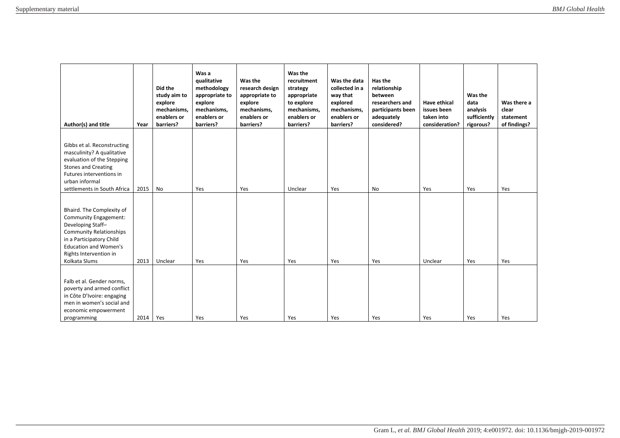| Author(s) and title                                                                                                                                                                                                     | Year | Did the<br>study aim to<br>explore<br>mechanisms.<br>enablers or<br>barriers? | Was a<br>qualitative<br>methodology<br>appropriate to<br>explore<br>mechanisms,<br>enablers or<br>barriers? | Was the<br>research design<br>appropriate to<br>explore<br>mechanisms,<br>enablers or<br>barriers? | Was the<br>recruitment<br>strategy<br>appropriate<br>to explore<br>mechanisms,<br>enablers or<br>barriers? | Was the data<br>collected in a<br>way that<br>explored<br>mechanisms.<br>enablers or<br>barriers? | Has the<br>relationship<br>between<br>researchers and<br>participants been<br>adequately<br>considered? | <b>Have ethical</b><br>issues been<br>taken into<br>consideration? | Was the<br>data<br>analysis<br>sufficiently<br>rigorous? | Was there a<br>clear<br>statement<br>of findings? |
|-------------------------------------------------------------------------------------------------------------------------------------------------------------------------------------------------------------------------|------|-------------------------------------------------------------------------------|-------------------------------------------------------------------------------------------------------------|----------------------------------------------------------------------------------------------------|------------------------------------------------------------------------------------------------------------|---------------------------------------------------------------------------------------------------|---------------------------------------------------------------------------------------------------------|--------------------------------------------------------------------|----------------------------------------------------------|---------------------------------------------------|
| Gibbs et al. Reconstructing<br>masculinity? A qualitative<br>evaluation of the Stepping<br><b>Stones and Creating</b><br>Futures interventions in<br>urban informal<br>settlements in South Africa                      | 2015 | No                                                                            | Yes                                                                                                         | Yes                                                                                                | Unclear                                                                                                    | Yes                                                                                               | No                                                                                                      | Yes                                                                | Yes                                                      | Yes                                               |
| Bhaird. The Complexity of<br><b>Community Engagement:</b><br>Developing Staff-<br><b>Community Relationships</b><br>in a Participatory Child<br><b>Education and Women's</b><br>Rights Intervention in<br>Kolkata Slums | 2013 | Unclear                                                                       | Yes                                                                                                         | Yes                                                                                                | Yes                                                                                                        | Yes                                                                                               | Yes                                                                                                     | Unclear                                                            | Yes                                                      | Yes                                               |
| Falb et al. Gender norms,<br>poverty and armed conflict<br>in Côte D'Ivoire: engaging<br>men in women's social and<br>economic empowerment<br>programming                                                               | 2014 | Yes                                                                           | Yes                                                                                                         | Yes                                                                                                | Yes                                                                                                        | Yes                                                                                               | Yes                                                                                                     | Yes                                                                | Yes                                                      | Yes                                               |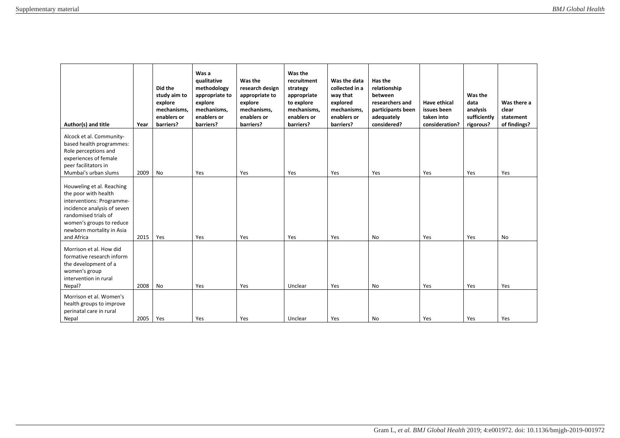| Author(s) and title                                                                                                                                                                                          | Year | Did the<br>study aim to<br>explore<br>mechanisms.<br>enablers or<br>barriers? | Was a<br>qualitative<br>methodology<br>appropriate to<br>explore<br>mechanisms,<br>enablers or<br>barriers? | Was the<br>research design<br>appropriate to<br>explore<br>mechanisms,<br>enablers or<br>barriers? | Was the<br>recruitment<br>strategy<br>appropriate<br>to explore<br>mechanisms,<br>enablers or<br>barriers? | Was the data<br>collected in a<br>way that<br>explored<br>mechanisms.<br>enablers or<br>barriers? | Has the<br>relationship<br>between<br>researchers and<br>participants been<br>adequately<br>considered? | <b>Have ethical</b><br>issues been<br>taken into<br>consideration? | Was the<br>data<br>analysis<br>sufficiently<br>rigorous? | Was there a<br>clear<br>statement<br>of findings? |
|--------------------------------------------------------------------------------------------------------------------------------------------------------------------------------------------------------------|------|-------------------------------------------------------------------------------|-------------------------------------------------------------------------------------------------------------|----------------------------------------------------------------------------------------------------|------------------------------------------------------------------------------------------------------------|---------------------------------------------------------------------------------------------------|---------------------------------------------------------------------------------------------------------|--------------------------------------------------------------------|----------------------------------------------------------|---------------------------------------------------|
| Alcock et al. Community-<br>based health programmes:<br>Role perceptions and<br>experiences of female<br>peer facilitators in<br>Mumbai's urban slums                                                        | 2009 | No                                                                            | Yes                                                                                                         | Yes                                                                                                | Yes                                                                                                        | Yes                                                                                               | Yes                                                                                                     | Yes                                                                | Yes                                                      | Yes                                               |
| Houweling et al. Reaching<br>the poor with health<br>interventions: Programme-<br>incidence analysis of seven<br>randomised trials of<br>women's groups to reduce<br>newborn mortality in Asia<br>and Africa | 2015 | Yes                                                                           | Yes                                                                                                         | Yes                                                                                                | Yes                                                                                                        | Yes                                                                                               | No                                                                                                      | Yes                                                                | Yes                                                      | <b>No</b>                                         |
| Morrison et al. How did<br>formative research inform<br>the development of a<br>women's group<br>intervention in rural<br>Nepal?                                                                             | 2008 | No                                                                            | Yes                                                                                                         | Yes                                                                                                | Unclear                                                                                                    | Yes                                                                                               | No                                                                                                      | Yes                                                                | Yes                                                      | Yes                                               |
| Morrison et al. Women's<br>health groups to improve<br>perinatal care in rural<br>Nepal                                                                                                                      | 2005 | Yes                                                                           | Yes                                                                                                         | Yes                                                                                                | Unclear                                                                                                    | Yes                                                                                               | No                                                                                                      | Yes                                                                | Yes                                                      | Yes                                               |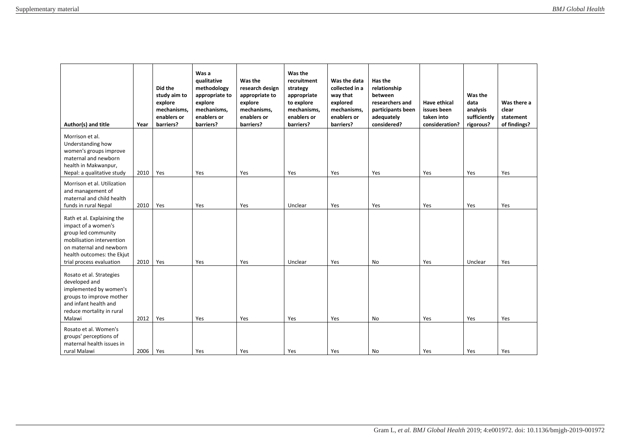| Author(s) and title                                                                                                                                                                        | Year | Did the<br>study aim to<br>explore<br>mechanisms,<br>enablers or<br>barriers? | Was a<br>qualitative<br>methodology<br>appropriate to<br>explore<br>mechanisms,<br>enablers or<br>barriers? | Was the<br>research design<br>appropriate to<br>explore<br>mechanisms,<br>enablers or<br>barriers? | Was the<br>recruitment<br>strategy<br>appropriate<br>to explore<br>mechanisms,<br>enablers or<br>barriers? | Was the data<br>collected in a<br>way that<br>explored<br>mechanisms,<br>enablers or<br>barriers? | Has the<br>relationship<br>between<br>researchers and<br>participants been<br>adequately<br>considered? | Have ethical<br>issues been<br>taken into<br>consideration? | Was the<br>data<br>analysis<br>sufficiently<br>rigorous? | Was there a<br>clear<br>statement<br>of findings? |
|--------------------------------------------------------------------------------------------------------------------------------------------------------------------------------------------|------|-------------------------------------------------------------------------------|-------------------------------------------------------------------------------------------------------------|----------------------------------------------------------------------------------------------------|------------------------------------------------------------------------------------------------------------|---------------------------------------------------------------------------------------------------|---------------------------------------------------------------------------------------------------------|-------------------------------------------------------------|----------------------------------------------------------|---------------------------------------------------|
| Morrison et al.<br>Understanding how<br>women's groups improve<br>maternal and newborn<br>health in Makwanpur,<br>Nepal: a qualitative study                                               | 2010 | Yes                                                                           | Yes                                                                                                         | Yes                                                                                                | Yes                                                                                                        | Yes                                                                                               | Yes                                                                                                     | Yes                                                         | Yes                                                      | Yes                                               |
| Morrison et al. Utilization<br>and management of<br>maternal and child health<br>funds in rural Nepal                                                                                      | 2010 | Yes                                                                           | Yes                                                                                                         | Yes                                                                                                | Unclear                                                                                                    | Yes                                                                                               | Yes                                                                                                     | Yes                                                         | Yes                                                      | Yes                                               |
| Rath et al. Explaining the<br>impact of a women's<br>group led community<br>mobilisation intervention<br>on maternal and newborn<br>health outcomes: the Ekjut<br>trial process evaluation | 2010 | Yes                                                                           | Yes                                                                                                         | Yes                                                                                                | Unclear                                                                                                    | Yes                                                                                               | No                                                                                                      | Yes                                                         | Unclear                                                  | Yes                                               |
| Rosato et al. Strategies<br>developed and<br>implemented by women's<br>groups to improve mother<br>and infant health and<br>reduce mortality in rural<br>Malawi                            | 2012 | Yes                                                                           | Yes                                                                                                         | Yes                                                                                                | Yes                                                                                                        | Yes                                                                                               | <b>No</b>                                                                                               | Yes                                                         | Yes                                                      | Yes                                               |
| Rosato et al. Women's<br>groups' perceptions of<br>maternal health issues in<br>rural Malawi                                                                                               | 2006 | Yes                                                                           | Yes                                                                                                         | Yes                                                                                                | Yes                                                                                                        | Yes                                                                                               | No                                                                                                      | Yes                                                         | Yes                                                      | Yes                                               |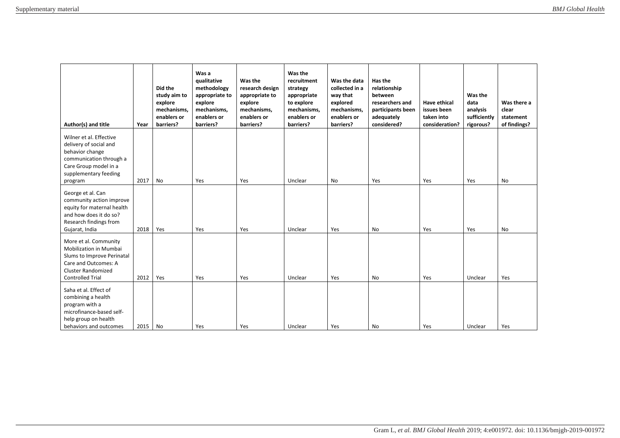| Author(s) and title                                                                                                                                           | Year | Did the<br>study aim to<br>explore<br>mechanisms.<br>enablers or<br>barriers? | Was a<br>qualitative<br>methodology<br>appropriate to<br>explore<br>mechanisms,<br>enablers or<br>barriers? | Was the<br>research design<br>appropriate to<br>explore<br>mechanisms,<br>enablers or<br>barriers? | Was the<br>recruitment<br>strategy<br>appropriate<br>to explore<br>mechanisms,<br>enablers or<br>barriers? | Was the data<br>collected in a<br>way that<br>explored<br>mechanisms.<br>enablers or<br>barriers? | Has the<br>relationship<br>between<br>researchers and<br>participants been<br>adequately<br>considered? | Have ethical<br>issues been<br>taken into<br>consideration? | Was the<br>data<br>analysis<br>sufficiently<br>rigorous? | Was there a<br>clear<br>statement<br>of findings? |
|---------------------------------------------------------------------------------------------------------------------------------------------------------------|------|-------------------------------------------------------------------------------|-------------------------------------------------------------------------------------------------------------|----------------------------------------------------------------------------------------------------|------------------------------------------------------------------------------------------------------------|---------------------------------------------------------------------------------------------------|---------------------------------------------------------------------------------------------------------|-------------------------------------------------------------|----------------------------------------------------------|---------------------------------------------------|
| Wilner et al. Effective<br>delivery of social and<br>behavior change<br>communication through a<br>Care Group model in a<br>supplementary feeding<br>program  | 2017 | No                                                                            | Yes                                                                                                         | Yes                                                                                                | Unclear                                                                                                    | No                                                                                                | Yes                                                                                                     | Yes                                                         | Yes                                                      | No                                                |
| George et al. Can<br>community action improve<br>equity for maternal health<br>and how does it do so?<br>Research findings from<br>Gujarat, India             | 2018 | Yes                                                                           | Yes                                                                                                         | Yes                                                                                                | Unclear                                                                                                    | Yes                                                                                               | <b>No</b>                                                                                               | Yes                                                         | Yes                                                      | <b>No</b>                                         |
| More et al. Community<br>Mobilization in Mumbai<br>Slums to Improve Perinatal<br>Care and Outcomes: A<br><b>Cluster Randomized</b><br><b>Controlled Trial</b> | 2012 | Yes                                                                           | Yes                                                                                                         | Yes                                                                                                | Unclear                                                                                                    | Yes                                                                                               | No                                                                                                      | Yes                                                         | Unclear                                                  | Yes                                               |
| Saha et al. Effect of<br>combining a health<br>program with a<br>microfinance-based self-<br>help group on health<br>behaviors and outcomes                   | 2015 | No                                                                            | Yes                                                                                                         | Yes                                                                                                | Unclear                                                                                                    | Yes                                                                                               | No                                                                                                      | Yes                                                         | Unclear                                                  | Yes                                               |